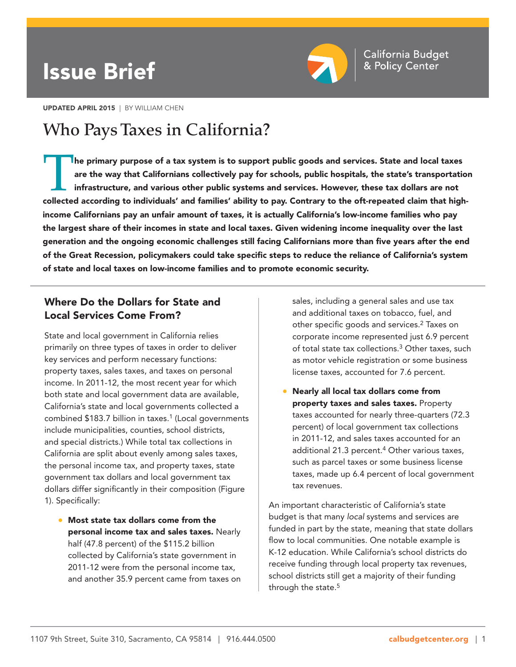# Issue Brief



UPDATED APRIL 2015 | BY WILLIAM CHEN

# **Who Pays Taxes in California?**

The primary purpose of a tax system is to support public goods and services. State and local taxes are the way that Californians collectively pay for schools, public hospitals, the state's transportation infrastructure, an are the way that Californians collectively pay for schools, public hospitals, the state's transportation infrastructure, and various other public systems and services. However, these tax dollars are not income Californians pay an unfair amount of taxes, it is actually California's low-income families who pay the largest share of their incomes in state and local taxes. Given widening income inequality over the last generation and the ongoing economic challenges still facing Californians more than five years after the end of the Great Recession, policymakers could take specific steps to reduce the reliance of California's system of state and local taxes on low-income families and to promote economic security.

# Where Do the Dollars for State and Local Services Come From?

State and local government in California relies primarily on three types of taxes in order to deliver key services and perform necessary functions: property taxes, sales taxes, and taxes on personal income. In 2011-12, the most recent year for which both state and local government data are available, California's state and local governments collected a combined \$183.7 billion in taxes.<sup>1</sup> (Local governments include municipalities, counties, school districts, and special districts.) While total tax collections in California are split about evenly among sales taxes, the personal income tax, and property taxes, state government tax dollars and local government tax dollars differ significantly in their composition (Figure 1). Specifically:

• Most state tax dollars come from the personal income tax and sales taxes. Nearly half (47.8 percent) of the \$115.2 billion collected by California's state government in 2011-12 were from the personal income tax, and another 35.9 percent came from taxes on sales, including a general sales and use tax and additional taxes on tobacco, fuel, and other specific goods and services.<sup>2</sup> Taxes on corporate income represented just 6.9 percent of total state tax collections.3 Other taxes, such as motor vehicle registration or some business license taxes, accounted for 7.6 percent.

• Nearly all local tax dollars come from property taxes and sales taxes. Property taxes accounted for nearly three-quarters (72.3 percent) of local government tax collections in 2011-12, and sales taxes accounted for an additional 21.3 percent.<sup>4</sup> Other various taxes, such as parcel taxes or some business license taxes, made up 6.4 percent of local government tax revenues.

An important characteristic of California's state budget is that many local systems and services are funded in part by the state, meaning that state dollars flow to local communities. One notable example is K-12 education. While California's school districts do receive funding through local property tax revenues, school districts still get a majority of their funding through the state.<sup>5</sup>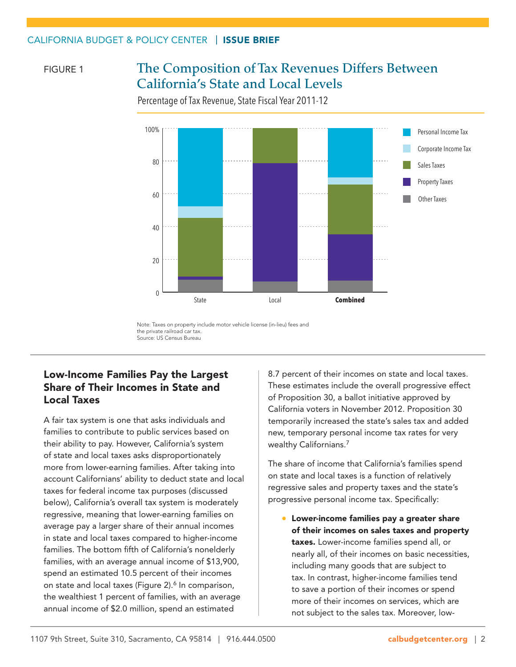## CALIFORNIA BUDGET & POLICY CENTER | ISSUE BRIEF

### FIGURE 1

# **The Composition of Tax Revenues Differs Between California's State and Local Levels**

Percentage of Tax Revenue, State Fiscal Year 2011-12



Note: Taxes on property include motor vehicle license (in-lieu) fees and the private railroad car tax. Source: US Census Bureau

# Low-Income Families Pay the Largest Share of Their Incomes in State and Local Taxes

A fair tax system is one that asks individuals and families to contribute to public services based on their ability to pay. However, California's system of state and local taxes asks disproportionately more from lower-earning families. After taking into account Californians' ability to deduct state and local taxes for federal income tax purposes (discussed below), California's overall tax system is moderately regressive, meaning that lower-earning families on average pay a larger share of their annual incomes in state and local taxes compared to higher-income families. The bottom fifth of California's nonelderly families, with an average annual income of \$13,900, spend an estimated 10.5 percent of their incomes on state and local taxes (Figure 2).<sup>6</sup> In comparison, the wealthiest 1 percent of families, with an average annual income of \$2.0 million, spend an estimated

8.7 percent of their incomes on state and local taxes. These estimates include the overall progressive effect of Proposition 30, a ballot initiative approved by California voters in November 2012. Proposition 30 temporarily increased the state's sales tax and added new, temporary personal income tax rates for very wealthy Californians.7

The share of income that California's families spend on state and local taxes is a function of relatively regressive sales and property taxes and the state's progressive personal income tax. Specifically:

• Lower-income families pay a greater share of their incomes on sales taxes and property taxes. Lower-income families spend all, or nearly all, of their incomes on basic necessities, including many goods that are subject to tax. In contrast, higher-income families tend to save a portion of their incomes or spend more of their incomes on services, which are not subject to the sales tax. Moreover, low-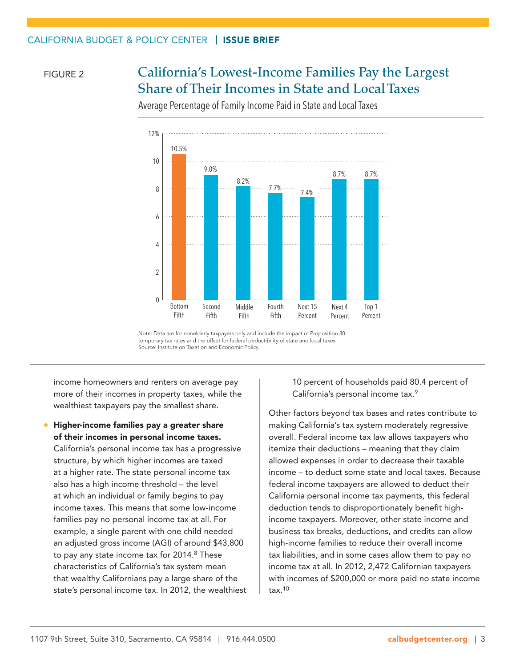# FIGURE 2 **California's Lowest-Income Families Pay the Largest Share of Their Incomes in State and Local Taxes**



Average Percentage of Family Income Paid in State and Local Taxes

Note: Data are for nonelderly taxpayers only and include the impact of Proposition 30 temporary tax rates and the offset for federal deductibility of state and local taxes. Source: Institute on Taxation and Economic Policy

income homeowners and renters on average pay more of their incomes in property taxes, while the wealthiest taxpayers pay the smallest share.

• Higher-income families pay a greater share of their incomes in personal income taxes.

California's personal income tax has a progressive structure, by which higher incomes are taxed at a higher rate. The state personal income tax also has a high income threshold – the level at which an individual or family begins to pay income taxes. This means that some low-income families pay no personal income tax at all. For example, a single parent with one child needed an adjusted gross income (AGI) of around \$43,800 to pay any state income tax for 2014.<sup>8</sup> These characteristics of California's tax system mean that wealthy Californians pay a large share of the state's personal income tax. In 2012, the wealthiest 10 percent of households paid 80.4 percent of California's personal income tax.9

Other factors beyond tax bases and rates contribute to making California's tax system moderately regressive overall. Federal income tax law allows taxpayers who itemize their deductions – meaning that they claim allowed expenses in order to decrease their taxable income – to deduct some state and local taxes. Because federal income taxpayers are allowed to deduct their California personal income tax payments, this federal deduction tends to disproportionately benefit highincome taxpayers. Moreover, other state income and business tax breaks, deductions, and credits can allow high-income families to reduce their overall income tax liabilities, and in some cases allow them to pay no income tax at all. In 2012, 2,472 Californian taxpayers with incomes of \$200,000 or more paid no state income tax.10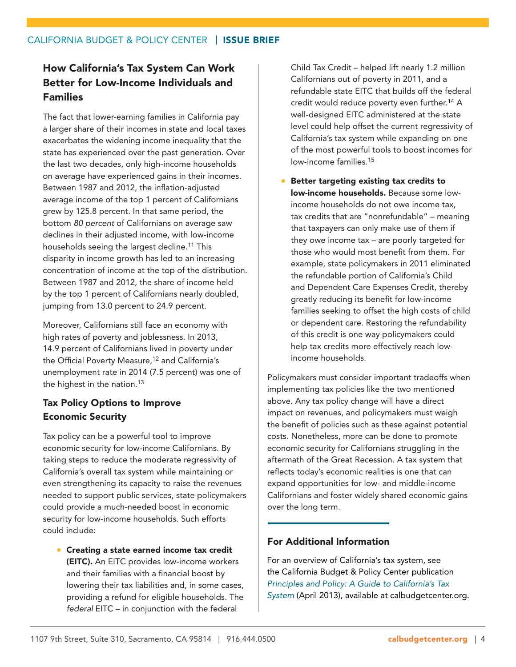## CALIFORNIA BUDGET & POLICY CENTER | ISSUE BRIEF

# How California's Tax System Can Work Better for Low-Income Individuals and Families

The fact that lower-earning families in California pay a larger share of their incomes in state and local taxes exacerbates the widening income inequality that the state has experienced over the past generation. Over the last two decades, only high-income households on average have experienced gains in their incomes. Between 1987 and 2012, the inflation-adjusted average income of the top 1 percent of Californians grew by 125.8 percent. In that same period, the bottom 80 percent of Californians on average saw declines in their adjusted income, with low-income households seeing the largest decline.<sup>11</sup> This disparity in income growth has led to an increasing concentration of income at the top of the distribution. Between 1987 and 2012, the share of income held by the top 1 percent of Californians nearly doubled, jumping from 13.0 percent to 24.9 percent.

Moreover, Californians still face an economy with high rates of poverty and joblessness. In 2013, 14.9 percent of Californians lived in poverty under the Official Poverty Measure,<sup>12</sup> and California's unemployment rate in 2014 (7.5 percent) was one of the highest in the nation.<sup>13</sup>

# Tax Policy Options to Improve Economic Security

Tax policy can be a powerful tool to improve economic security for low-income Californians. By taking steps to reduce the moderate regressivity of California's overall tax system while maintaining or even strengthening its capacity to raise the revenues needed to support public services, state policymakers could provide a much-needed boost in economic security for low-income households. Such efforts could include:

• Creating a state earned income tax credit (EITC). An EITC provides low-income workers and their families with a financial boost by lowering their tax liabilities and, in some cases, providing a refund for eligible households. The federal EITC – in conjunction with the federal

Child Tax Credit – helped lift nearly 1.2 million Californians out of poverty in 2011, and a refundable state EITC that builds off the federal credit would reduce poverty even further.14 A well-designed EITC administered at the state level could help offset the current regressivity of California's tax system while expanding on one of the most powerful tools to boost incomes for low-income families.15

• Better targeting existing tax credits to low-income households. Because some lowincome households do not owe income tax, tax credits that are "nonrefundable" – meaning that taxpayers can only make use of them if they owe income tax – are poorly targeted for those who would most benefit from them. For example, state policymakers in 2011 eliminated the refundable portion of California's Child and Dependent Care Expenses Credit, thereby greatly reducing its benefit for low-income families seeking to offset the high costs of child or dependent care. Restoring the refundability of this credit is one way policymakers could help tax credits more effectively reach lowincome households.

Policymakers must consider important tradeoffs when implementing tax policies like the two mentioned above. Any tax policy change will have a direct impact on revenues, and policymakers must weigh the benefit of policies such as these against potential costs. Nonetheless, more can be done to promote economic security for Californians struggling in the aftermath of the Great Recession. A tax system that reflects today's economic realities is one that can expand opportunities for low- and middle-income Californians and foster widely shared economic gains over the long term.

### For Additional Information

For an overview of California's tax system, see the California Budget & Policy Center publication [Principles and Policy: A Guide to California's Tax](http://calbudgetcenter.org/wp-content/uploads/130411_Californias_Tax_System.pdf)  [System](http://calbudgetcenter.org/wp-content/uploads/130411_Californias_Tax_System.pdf) (April 2013), available at [calbudgetcenter.org](http://calbudgetcenter.org/).